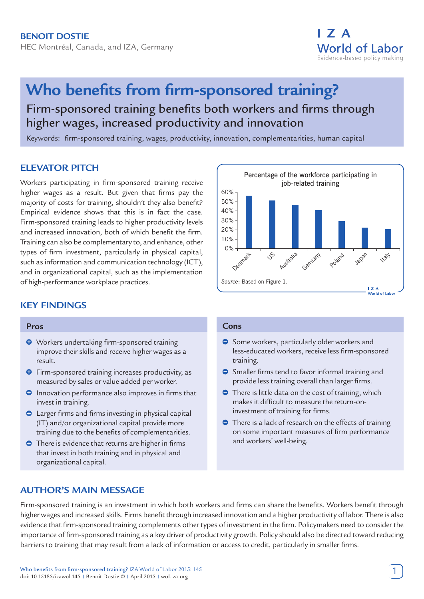

# **Who benefits from firm-sponsored training?** Firm-sponsored training benefits both workers and firms through higher wages, increased productivity and innovation

Keywords: firm-sponsored training, wages, productivity, innovation, complementarities, human capital

# **ELEVATOR PITCH**

Workers participating in firm-sponsored training receive higher wages as a result. But given that firms pay the majority of costs for training, shouldn't they also benefit? Empirical evidence shows that this is in fact the case. Firm-sponsored training leads to higher productivity levels and increased innovation, both of which benefit the firm. Training can also be complementary to, and enhance, other types of firm investment, particularly in physical capital, such as information and communication technology (ICT), and in organizational capital, such as the implementation of high-performance workplace practices.

# **KEY FINDINGS**

#### **Pros**

- **O** Workers undertaking firm-sponsored training improve their skills and receive higher wages as a result.
- **O** Firm-sponsored training increases productivity, as measured by sales or value added per worker.
- $\Theta$  Innovation performance also improves in firms that invest in training.
- Larger firms and firms investing in physical capital (IT) and/or organizational capital provide more training due to the benefits of complementarities.
- **O** There is evidence that returns are higher in firms that invest in both training and in physical and organizational capital.



#### **Cons**

- Some workers, particularly older workers and less-educated workers, receive less firm-sponsored training.
- **Smaller firms tend to favor informal training and** provide less training overall than larger firms.
- **There is little data on the cost of training, which** makes it difficult to measure the return-oninvestment of training for firms.
- **•** There is a lack of research on the effects of training on some important measures of firm performance and workers' well-being.

# **AUTHOR'S MAIN MESSAGE**

Firm-sponsored training is an investment in which both workers and firms can share the benefits. Workers benefit through higher wages and increased skills. Firms benefit through increased innovation and a higher productivity of labor. There is also evidence that firm-sponsored training complements other types of investment in the firm. Policymakers need to consider the importance of firm-sponsored training as a key driver of productivity growth. Policy should also be directed toward reducing barriers to training that may result from a lack of information or access to credit, particularly in smaller firms.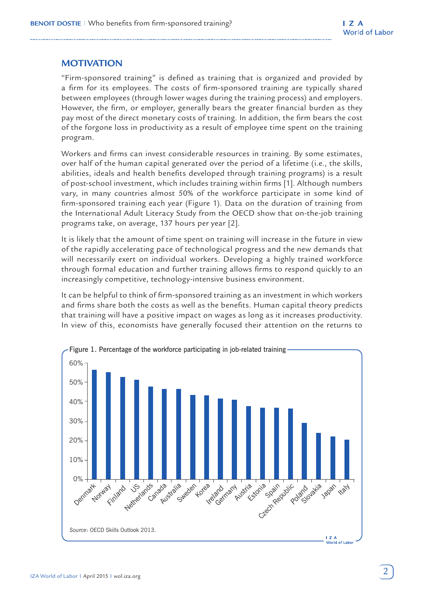# **MOTIVATION**

"Firm-sponsored training" is defined as training that is organized and provided by a firm for its employees. The costs of firm-sponsored training are typically shared between employees (through lower wages during the training process) and employers. However, the firm, or employer, generally bears the greater financial burden as they pay most of the direct monetary costs of training. In addition, the firm bears the cost of the forgone loss in productivity as a result of employee time spent on the training program.

Workers and firms can invest considerable resources in training. By some estimates, over half of the human capital generated over the period of a lifetime (i.e., the skills, abilities, ideals and health benefits developed through training programs) is a result of post-school investment, which includes training within firms [1]. Although numbers vary, in many countries almost 50% of the workforce participate in some kind of firm-sponsored training each year (Figure 1). Data on the duration of training from the International Adult Literacy Study from the OECD show that on-the-job training programs take, on average, 137 hours per year [2].

It is likely that the amount of time spent on training will increase in the future in view of the rapidly accelerating pace of technological progress and the new demands that will necessarily exert on individual workers. Developing a highly trained workforce through formal education and further training allows firms to respond quickly to an increasingly competitive, technology-intensive business environment.

It can be helpful to think of firm-sponsored training as an investment in which workers and firms share both the costs as well as the benefits. Human capital theory predicts that training will have a positive impact on wages as long as it increases productivity. In view of this, economists have generally focused their attention on the returns to

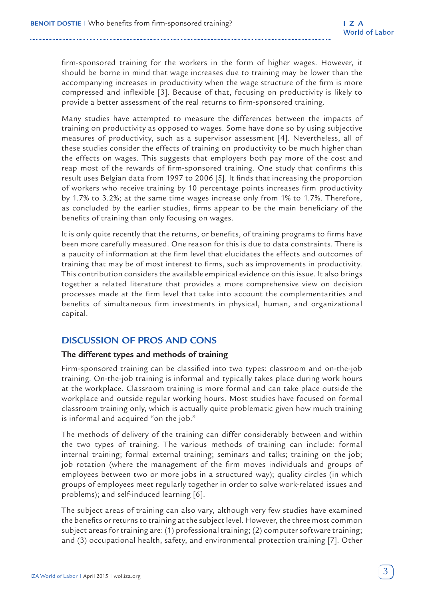firm-sponsored training for the workers in the form of higher wages. However, it should be borne in mind that wage increases due to training may be lower than the accompanying increases in productivity when the wage structure of the firm is more compressed and inflexible [3]. Because of that, focusing on productivity is likely to provide a better assessment of the real returns to firm-sponsored training.

Many studies have attempted to measure the differences between the impacts of training on productivity as opposed to wages. Some have done so by using subjective measures of productivity, such as a supervisor assessment [4]. Nevertheless, all of these studies consider the effects of training on productivity to be much higher than the effects on wages. This suggests that employers both pay more of the cost and reap most of the rewards of firm-sponsored training. One study that confirms this result uses Belgian data from 1997 to 2006 [5]. It finds that increasing the proportion of workers who receive training by 10 percentage points increases firm productivity by 1.7% to 3.2%; at the same time wages increase only from 1% to 1.7%. Therefore, as concluded by the earlier studies, firms appear to be the main beneficiary of the benefits of training than only focusing on wages.

It is only quite recently that the returns, or benefits, of training programs to firms have been more carefully measured. One reason for this is due to data constraints. There is a paucity of information at the firm level that elucidates the effects and outcomes of training that may be of most interest to firms, such as improvements in productivity. This contribution considers the available empirical evidence on this issue. It also brings together a related literature that provides a more comprehensive view on decision processes made at the firm level that take into account the complementarities and benefits of simultaneous firm investments in physical, human, and organizational capital.

# **DISCUSSION OF PROS AND CONS**

## **The different types and methods of training**

Firm-sponsored training can be classified into two types: classroom and on-the-job training. On-the-job training is informal and typically takes place during work hours at the workplace. Classroom training is more formal and can take place outside the workplace and outside regular working hours. Most studies have focused on formal classroom training only, which is actually quite problematic given how much training is informal and acquired "on the job."

The methods of delivery of the training can differ considerably between and within the two types of training. The various methods of training can include: formal internal training; formal external training; seminars and talks; training on the job; job rotation (where the management of the firm moves individuals and groups of employees between two or more jobs in a structured way); quality circles (in which groups of employees meet regularly together in order to solve work-related issues and problems); and self-induced learning [6].

The subject areas of training can also vary, although very few studies have examined the benefits or returns to training at the subject level. However, the three most common subject areas for training are: (1) professional training; (2) computer software training; and (3) occupational health, safety, and environmental protection training [7]. Other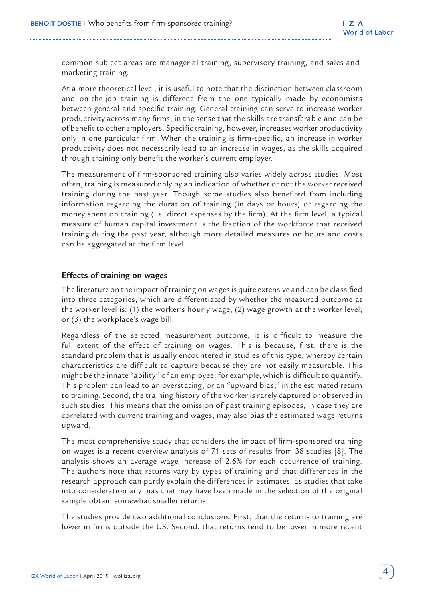common subject areas are managerial training, supervisory training, and sales-andmarketing training.

At a more theoretical level, it is useful to note that the distinction between classroom and on-the-job training is different from the one typically made by economists between general and specific training. General training can serve to increase worker productivity across many firms, in the sense that the skills are transferable and can be of benefit to other employers. Specific training, however, increases worker productivity only in one particular firm. When the training is firm-specific, an increase in worker productivity does not necessarily lead to an increase in wages, as the skills acquired through training only benefit the worker's current employer.

The measurement of firm-sponsored training also varies widely across studies. Most often, training is measured only by an indication of whether or not the worker received training during the past year. Though some studies also benefited from including information regarding the duration of training (in days or hours) or regarding the money spent on training (i.e. direct expenses by the firm). At the firm level, a typical measure of human capital investment is the fraction of the workforce that received training during the past year, although more detailed measures on hours and costs can be aggregated at the firm level.

## **Effects of training on wages**

The literature on the impact of training on wages is quite extensive and can be classified into three categories, which are differentiated by whether the measured outcome at the worker level is: (1) the worker's hourly wage; (2) wage growth at the worker level; or (3) the workplace's wage bill.

Regardless of the selected measurement outcome, it is difficult to measure the full extent of the effect of training on wages. This is because, first, there is the standard problem that is usually encountered in studies of this type, whereby certain characteristics are difficult to capture because they are not easily measurable. This might be the innate "ability" of an employee, for example, which is difficult to quantify. This problem can lead to an overstating, or an "upward bias," in the estimated return to training. Second, the training history of the worker is rarely captured or observed in such studies. This means that the omission of past training episodes, in case they are correlated with current training and wages, may also bias the estimated wage returns upward.

The most comprehensive study that considers the impact of firm-sponsored training on wages is a recent overview analysis of 71 sets of results from 38 studies [8]. The analysis shows an average wage increase of 2.6% for each occurrence of training. The authors note that returns vary by types of training and that differences in the research approach can partly explain the differences in estimates, as studies that take into consideration any bias that may have been made in the selection of the original sample obtain somewhat smaller returns.

The studies provide two additional conclusions. First, that the returns to training are lower in firms outside the US. Second, that returns tend to be lower in more recent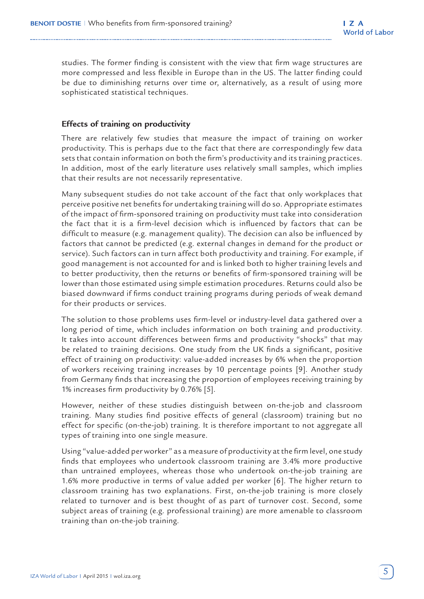studies. The former finding is consistent with the view that firm wage structures are more compressed and less flexible in Europe than in the US. The latter finding could be due to diminishing returns over time or, alternatively, as a result of using more sophisticated statistical techniques.

## **Effects of training on productivity**

There are relatively few studies that measure the impact of training on worker productivity. This is perhaps due to the fact that there are correspondingly few data sets that contain information on both the firm's productivity and its training practices. In addition, most of the early literature uses relatively small samples, which implies that their results are not necessarily representative.

Many subsequent studies do not take account of the fact that only workplaces that perceive positive net benefits for undertaking training will do so. Appropriate estimates of the impact of firm-sponsored training on productivity must take into consideration the fact that it is a firm-level decision which is influenced by factors that can be difficult to measure (e.g. management quality). The decision can also be influenced by factors that cannot be predicted (e.g. external changes in demand for the product or service). Such factors can in turn affect both productivity and training. For example, if good management is not accounted for and is linked both to higher training levels and to better productivity, then the returns or benefits of firm-sponsored training will be lower than those estimated using simple estimation procedures. Returns could also be biased downward if firms conduct training programs during periods of weak demand for their products or services.

The solution to those problems uses firm-level or industry-level data gathered over a long period of time, which includes information on both training and productivity. It takes into account differences between firms and productivity "shocks" that may be related to training decisions. One study from the UK finds a significant, positive effect of training on productivity: value-added increases by 6% when the proportion of workers receiving training increases by 10 percentage points [9]. Another study from Germany finds that increasing the proportion of employees receiving training by 1% increases firm productivity by 0.76% [5].

However, neither of these studies distinguish between on-the-job and classroom training. Many studies find positive effects of general (classroom) training but no effect for specific (on-the-job) training. It is therefore important to not aggregate all types of training into one single measure.

Using "value-added per worker" as a measure of productivity at the firm level, one study finds that employees who undertook classroom training are 3.4% more productive than untrained employees, whereas those who undertook on-the-job training are 1.6% more productive in terms of value added per worker [6]. The higher return to classroom training has two explanations. First, on-the-job training is more closely related to turnover and is best thought of as part of turnover cost. Second, some subject areas of training (e.g. professional training) are more amenable to classroom training than on-the-job training.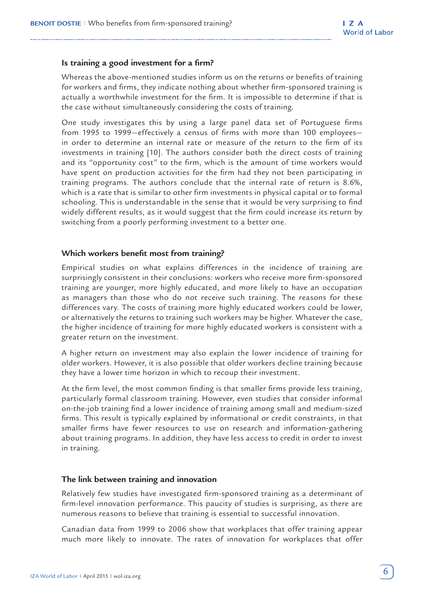#### **Is training a good investment for a firm?**

Whereas the above-mentioned studies inform us on the returns or benefits of training for workers and firms, they indicate nothing about whether firm-sponsored training is actually a worthwhile investment for the firm. It is impossible to determine if that is the case without simultaneously considering the costs of training.

One study investigates this by using a large panel data set of Portuguese firms from 1995 to 1999—effectively a census of firms with more than 100 employees in order to determine an internal rate or measure of the return to the firm of its investments in training [10]. The authors consider both the direct costs of training and its "opportunity cost" to the firm, which is the amount of time workers would have spent on production activities for the firm had they not been participating in training programs. The authors conclude that the internal rate of return is 8.6%, which is a rate that is similar to other firm investments in physical capital or to formal schooling. This is understandable in the sense that it would be very surprising to find widely different results, as it would suggest that the firm could increase its return by switching from a poorly performing investment to a better one.

#### **Which workers benefit most from training?**

Empirical studies on what explains differences in the incidence of training are surprisingly consistent in their conclusions: workers who receive more firm-sponsored training are younger, more highly educated, and more likely to have an occupation as managers than those who do not receive such training. The reasons for these differences vary. The costs of training more highly educated workers could be lower, or alternatively the returns to training such workers may be higher. Whatever the case, the higher incidence of training for more highly educated workers is consistent with a greater return on the investment.

A higher return on investment may also explain the lower incidence of training for older workers. However, it is also possible that older workers decline training because they have a lower time horizon in which to recoup their investment.

At the firm level, the most common finding is that smaller firms provide less training, particularly formal classroom training. However, even studies that consider informal on-the-job training find a lower incidence of training among small and medium-sized firms. This result is typically explained by informational or credit constraints, in that smaller firms have fewer resources to use on research and information-gathering about training programs. In addition, they have less access to credit in order to invest in training.

#### **The link between training and innovation**

Relatively few studies have investigated firm-sponsored training as a determinant of firm-level innovation performance. This paucity of studies is surprising, as there are numerous reasons to believe that training is essential to successful innovation.

Canadian data from 1999 to 2006 show that workplaces that offer training appear much more likely to innovate. The rates of innovation for workplaces that offer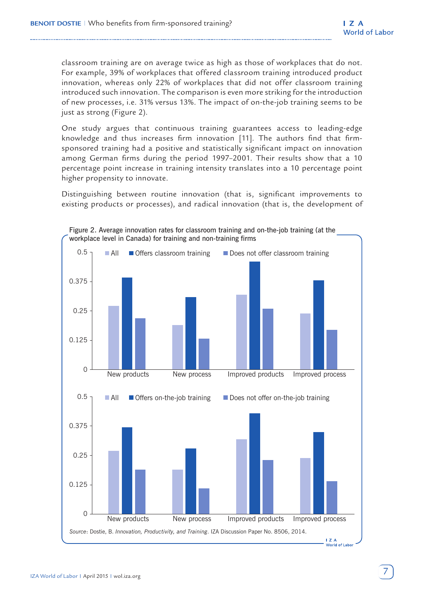classroom training are on average twice as high as those of workplaces that do not. For example, 39% of workplaces that offered classroom training introduced product innovation, whereas only 22% of workplaces that did not offer classroom training introduced such innovation. The comparison is even more striking for the introduction of new processes, i.e. 31% versus 13%. The impact of on-the-job training seems to be just as strong (Figure 2).

One study argues that continuous training guarantees access to leading-edge knowledge and thus increases firm innovation [11]. The authors find that firmsponsored training had a positive and statistically significant impact on innovation among German firms during the period 1997–2001. Their results show that a 10 percentage point increase in training intensity translates into a 10 percentage point higher propensity to innovate.

Distinguishing between routine innovation (that is, significant improvements to existing products or processes), and radical innovation (that is, the development of

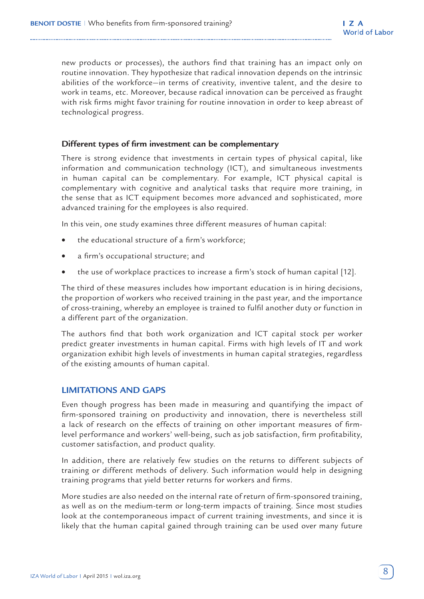new products or processes), the authors find that training has an impact only on routine innovation. They hypothesize that radical innovation depends on the intrinsic abilities of the workforce—in terms of creativity, inventive talent, and the desire to work in teams, etc. Moreover, because radical innovation can be perceived as fraught with risk firms might favor training for routine innovation in order to keep abreast of technological progress.

#### **Different types of firm investment can be complementary**

There is strong evidence that investments in certain types of physical capital, like information and communication technology (ICT), and simultaneous investments in human capital can be complementary. For example, ICT physical capital is complementary with cognitive and analytical tasks that require more training, in the sense that as ICT equipment becomes more advanced and sophisticated, more advanced training for the employees is also required.

In this vein, one study examines three different measures of human capital:

- the educational structure of a firm's workforce;
- a firm's occupational structure; and
- the use of workplace practices to increase a firm's stock of human capital [12].

The third of these measures includes how important education is in hiring decisions, the proportion of workers who received training in the past year, and the importance of cross-training, whereby an employee is trained to fulfil another duty or function in a different part of the organization.

The authors find that both work organization and ICT capital stock per worker predict greater investments in human capital. Firms with high levels of IT and work organization exhibit high levels of investments in human capital strategies, regardless of the existing amounts of human capital.

## **LIMITATIONS AND GAPS**

Even though progress has been made in measuring and quantifying the impact of firm-sponsored training on productivity and innovation, there is nevertheless still a lack of research on the effects of training on other important measures of firmlevel performance and workers' well-being, such as job satisfaction, firm profitability, customer satisfaction, and product quality.

In addition, there are relatively few studies on the returns to different subjects of training or different methods of delivery. Such information would help in designing training programs that yield better returns for workers and firms.

More studies are also needed on the internal rate of return of firm-sponsored training, as well as on the medium-term or long-term impacts of training. Since most studies look at the contemporaneous impact of current training investments, and since it is likely that the human capital gained through training can be used over many future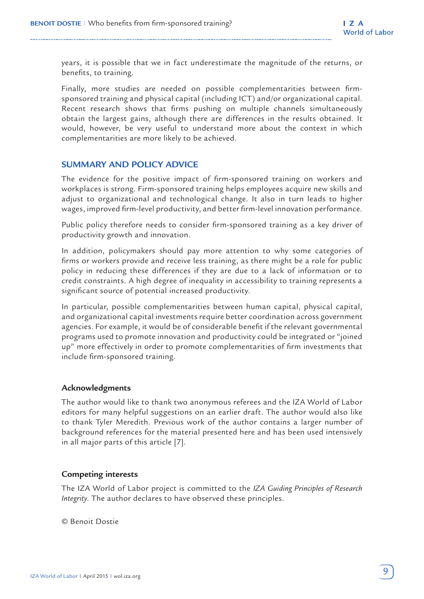years, it is possible that we in fact underestimate the magnitude of the returns, or benefits, to training.

Finally, more studies are needed on possible complementarities between firmsponsored training and physical capital (including ICT) and/or organizational capital. Recent research shows that firms pushing on multiple channels simultaneously obtain the largest gains, although there are differences in the results obtained. It would, however, be very useful to understand more about the context in which complementarities are more likely to be achieved.

## **SUMMARY AND POLICY ADVICE**

The evidence for the positive impact of firm-sponsored training on workers and workplaces is strong. Firm-sponsored training helps employees acquire new skills and adjust to organizational and technological change. It also in turn leads to higher wages, improved firm-level productivity, and better firm-level innovation performance.

Public policy therefore needs to consider firm-sponsored training as a key driver of productivity growth and innovation.

In addition, policymakers should pay more attention to why some categories of firms or workers provide and receive less training, as there might be a role for public policy in reducing these differences if they are due to a lack of information or to credit constraints. A high degree of inequality in accessibility to training represents a significant source of potential increased productivity.

In particular, possible complementarities between human capital, physical capital, and organizational capital investments require better coordination across government agencies. For example, it would be of considerable benefit if the relevant governmental programs used to promote innovation and productivity could be integrated or "joined up" more effectively in order to promote complementarities of firm investments that include firm-sponsored training.

#### **Acknowledgments**

The author would like to thank two anonymous referees and the IZA World of Labor editors for many helpful suggestions on an earlier draft. The author would also like to thank Tyler Meredith. Previous work of the author contains a larger number of background references for the material presented here and has been used intensively in all major parts of this article [7].

#### **Competing interests**

The IZA World of Labor project is committed to the *IZA Guiding Principles of Research Integrity*. The author declares to have observed these principles.

© Benoit Dostie